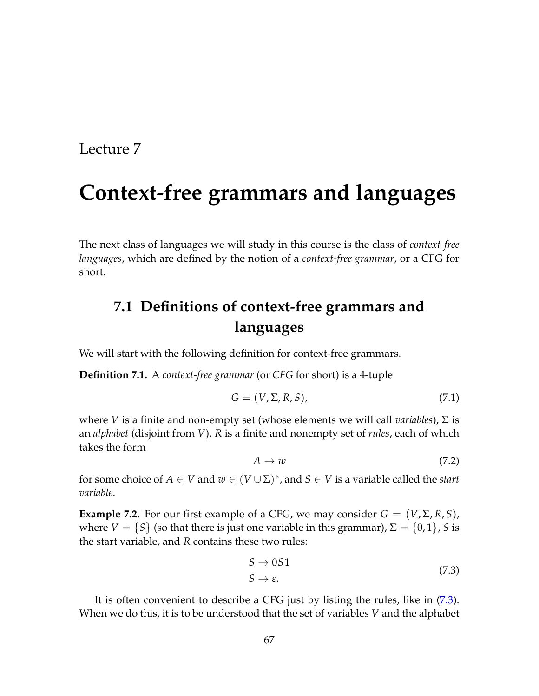# **Context-free grammars and languages**

The next class of languages we will study in this course is the class of *context-free languages*, which are defined by the notion of a *context-free grammar*, or a CFG for short.

## **7.1 Definitions of context-free grammars and languages**

We will start with the following definition for context-free grammars.

**Definition 7.1.** A *context-free grammar* (or *CFG* for short) is a 4-tuple

$$
G = (V, \Sigma, R, S), \tag{7.1}
$$

where *V* is a finite and non-empty set (whose elements we will call *variables*), Σ is an *alphabet* (disjoint from *V*), *R* is a finite and nonempty set of *rules*, each of which takes the form

$$
A \to w \tag{7.2}
$$

for some choice of  $A \in V$  and  $w \in (V \cup \Sigma)^*$ , and  $S \in V$  is a variable called the *start variable*.

<span id="page-0-1"></span>**Example 7.2.** For our first example of a CFG, we may consider  $G = (V, \Sigma, R, S)$ , where  $V = \{S\}$  (so that there is just one variable in this grammar),  $\Sigma = \{0, 1\}$ , *S* is the start variable, and *R* contains these two rules:

<span id="page-0-0"></span>
$$
S \to 0S1
$$
  

$$
S \to \varepsilon.
$$
 (7.3)

It is often convenient to describe a CFG just by listing the rules, like in [\(7.3\)](#page-0-0). When we do this, it is to be understood that the set of variables *V* and the alphabet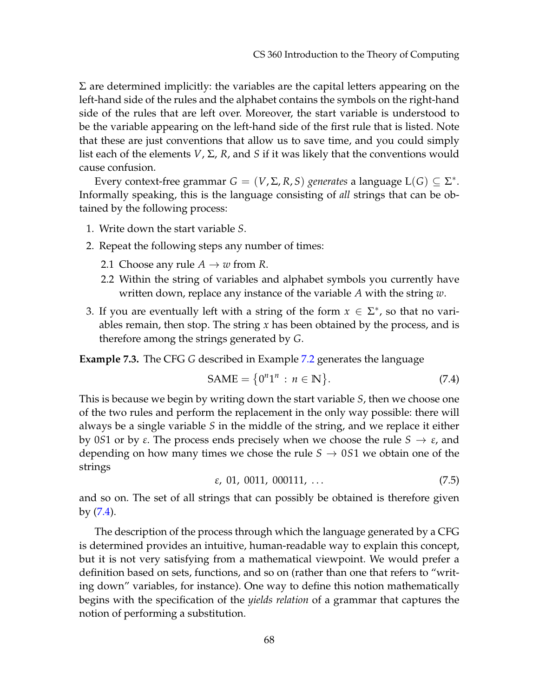$\Sigma$  are determined implicitly: the variables are the capital letters appearing on the left-hand side of the rules and the alphabet contains the symbols on the right-hand side of the rules that are left over. Moreover, the start variable is understood to be the variable appearing on the left-hand side of the first rule that is listed. Note that these are just conventions that allow us to save time, and you could simply list each of the elements *V*, Σ, *R*, and *S* if it was likely that the conventions would cause confusion.

Every context-free grammar  $G = (V, \Sigma, R, S)$  *generates* a language  $L(G) \subseteq \Sigma^*$ . Informally speaking, this is the language consisting of *all* strings that can be obtained by the following process:

- 1. Write down the start variable *S*.
- 2. Repeat the following steps any number of times:
	- 2.1 Choose any rule  $A \rightarrow w$  from R.
	- 2.2 Within the string of variables and alphabet symbols you currently have written down, replace any instance of the variable *A* with the string *w*.
- 3. If you are eventually left with a string of the form  $x \in \Sigma^*$ , so that no variables remain, then stop. The string *x* has been obtained by the process, and is therefore among the strings generated by *G*.

<span id="page-1-1"></span>**Example 7.3.** The CFG *G* described in Example [7.2](#page-0-1) generates the language

<span id="page-1-0"></span>
$$
\text{SAME} = \{0^n 1^n : n \in \mathbb{N}\}. \tag{7.4}
$$

This is because we begin by writing down the start variable *S*, then we choose one of the two rules and perform the replacement in the only way possible: there will always be a single variable *S* in the middle of the string, and we replace it either by 0*S*1 or by *ε*. The process ends precisely when we choose the rule  $S \rightarrow \varepsilon$ , and depending on how many times we chose the rule  $S \rightarrow 0S1$  we obtain one of the strings

$$
\varepsilon, 01, 0011, 000111, \ldots \tag{7.5}
$$

and so on. The set of all strings that can possibly be obtained is therefore given by [\(7.4\)](#page-1-0).

The description of the process through which the language generated by a CFG is determined provides an intuitive, human-readable way to explain this concept, but it is not very satisfying from a mathematical viewpoint. We would prefer a definition based on sets, functions, and so on (rather than one that refers to "writing down" variables, for instance). One way to define this notion mathematically begins with the specification of the *yields relation* of a grammar that captures the notion of performing a substitution.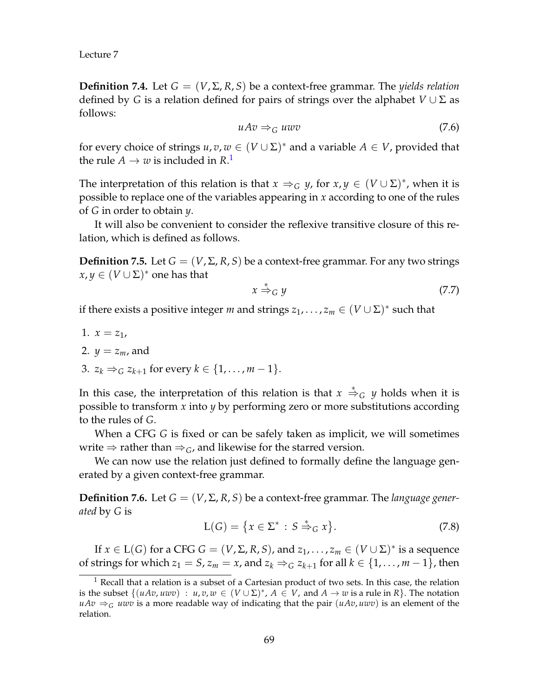**Definition 7.4.** Let  $G = (V, \Sigma, R, S)$  be a context-free grammar. The *yields relation* defined by *G* is a relation defined for pairs of strings over the alphabet  $V \cup \Sigma$  as follows:

$$
uAv \Rightarrow_G uwv \tag{7.6}
$$

for every choice of strings  $u, v, w \in (V \cup \Sigma)^*$  and a variable  $A \in V$ , provided that the rule  $A \to w$  is included in R.<sup>[1](#page-2-0)</sup>

The interpretation of this relation is that  $x \Rightarrow_G y$ , for  $x, y \in (V \cup \Sigma)^*$ , when it is possible to replace one of the variables appearing in *x* according to one of the rules of *G* in order to obtain *y*.

It will also be convenient to consider the reflexive transitive closure of this relation, which is defined as follows.

**Definition 7.5.** Let  $G = (V, \Sigma, R, S)$  be a context-free grammar. For any two strings  $x, y \in (V \cup \Sigma)^*$  one has that

$$
x \stackrel{*}{\Rightarrow}_G y \tag{7.7}
$$

if there exists a positive integer *m* and strings  $z_1, \ldots, z_m \in (V \cup \Sigma)^*$  such that

1.  $x = z_1$ , 2.  $y = z_m$ , and 3.  $z_k \Rightarrow_G z_{k+1}$  for every  $k \in \{1, ..., m-1\}$ .

In this case, the interpretation of this relation is that  $x \stackrel{*}{\Rightarrow}_G y$  holds when it is possible to transform *x* into *y* by performing zero or more substitutions according to the rules of *G*.

When a CFG *G* is fixed or can be safely taken as implicit, we will sometimes write  $\Rightarrow$  rather than  $\Rightarrow$  *<sub>G</sub>*, and likewise for the starred version.

We can now use the relation just defined to formally define the language generated by a given context-free grammar.

**Definition 7.6.** Let  $G = (V, \Sigma, R, S)$  be a context-free grammar. The *language generated* by *G* is

$$
L(G) = \{ x \in \Sigma^* : S \stackrel{*}{\Rightarrow}_G x \}. \tag{7.8}
$$

If  $x \in L(G)$  for a CFG  $G = (V, \Sigma, R, S)$ , and  $z_1, \ldots, z_m \in (V \cup \Sigma)^*$  is a sequence of strings for which  $z_1 = S$ ,  $z_m = x$ , and  $z_k \Rightarrow_G z_{k+1}$  for all  $k \in \{1, \ldots, m-1\}$ , then

<span id="page-2-0"></span> $1$  Recall that a relation is a subset of a Cartesian product of two sets. In this case, the relation is the subset  $\{(uAv, uww) : u, v, w \in (V \cup \Sigma)^*, A \in V$ , and  $A \to w$  is a rule in R}. The notation  $uAv \Rightarrow_G u wv$  is a more readable way of indicating that the pair  $(uAv, u wv)$  is an element of the relation.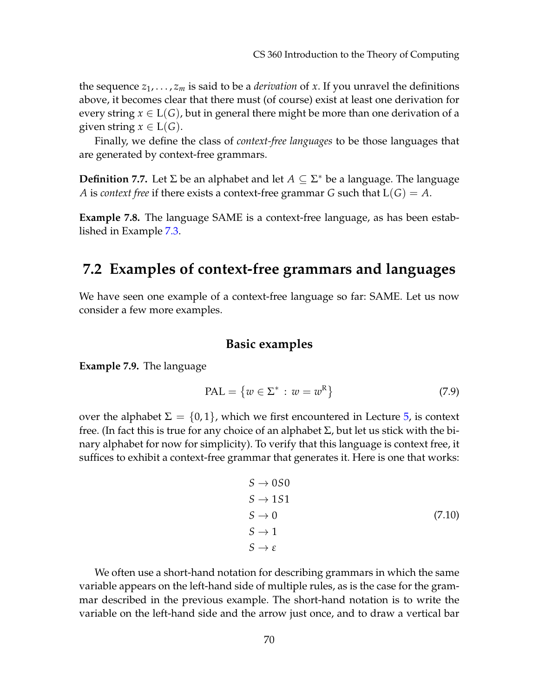the sequence  $z_1, \ldots, z_m$  is said to be a *derivation* of *x*. If you unravel the definitions above, it becomes clear that there must (of course) exist at least one derivation for every string  $x \in L(G)$ , but in general there might be more than one derivation of a given string  $x \in L(G)$ .

Finally, we define the class of *context-free languages* to be those languages that are generated by context-free grammars.

**Definition 7.7.** Let  $\Sigma$  be an alphabet and let  $A \subseteq \Sigma^*$  be a language. The language *A* is *context free* if there exists a context-free grammar *G* such that  $L(G) = A$ .

**Example 7.8.** The language SAME is a context-free language, as has been established in Example [7.3.](#page-1-1)

### **7.2 Examples of context-free grammars and languages**

We have seen one example of a context-free language so far: SAME. Let us now consider a few more examples.

#### **Basic examples**

**Example 7.9.** The language

$$
PAL = \{w \in \Sigma^* : w = w^R\}
$$
\n
$$
(7.9)
$$

over the alphabet  $\Sigma = \{0, 1\}$ , which we first encountered in Lecture [5,](#page--1-0) is context free. (In fact this is true for any choice of an alphabet Σ, but let us stick with the binary alphabet for now for simplicity). To verify that this language is context free, it suffices to exhibit a context-free grammar that generates it. Here is one that works:

$$
S \rightarrow 0S0
$$
  
\n
$$
S \rightarrow 1S1
$$
  
\n
$$
S \rightarrow 0
$$
  
\n
$$
S \rightarrow 1
$$
  
\n
$$
S \rightarrow \varepsilon
$$
  
\n(7.10)

We often use a short-hand notation for describing grammars in which the same variable appears on the left-hand side of multiple rules, as is the case for the grammar described in the previous example. The short-hand notation is to write the variable on the left-hand side and the arrow just once, and to draw a vertical bar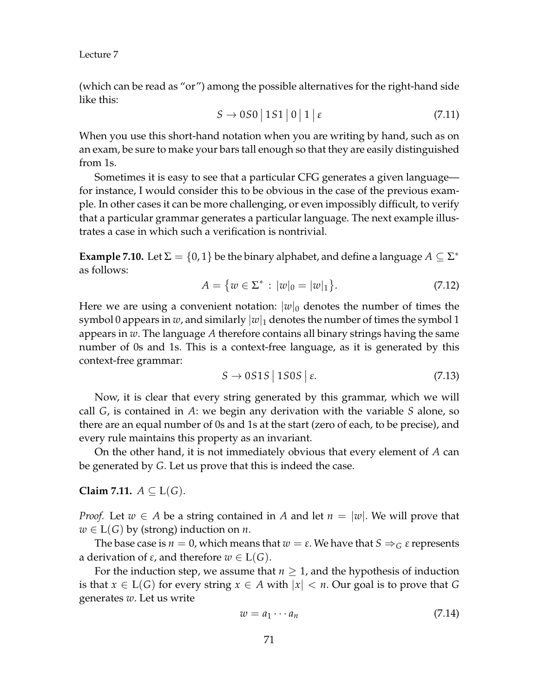(which can be read as "or") among the possible alternatives for the right-hand side like this:

$$
S \to 0S0 \mid 1S1 \mid 0 \mid 1 \mid \varepsilon \tag{7.11}
$$

When you use this short-hand notation when you are writing by hand, such as on an exam, be sure to make your bars tall enough so that they are easily distinguished from 1s.

Sometimes it is easy to see that a particular CFG generates a given language for instance, I would consider this to be obvious in the case of the previous example. In other cases it can be more challenging, or even impossibly difficult, to verify that a particular grammar generates a particular language. The next example illustrates a case in which such a verification is nontrivial.

**Example 7.10.** Let  $\Sigma = \{0, 1\}$  be the binary alphabet, and define a language  $A \subseteq \Sigma^*$ as follows:

$$
A = \{ w \in \Sigma^* : |w|_0 = |w|_1 \}. \tag{7.12}
$$

Here we are using a convenient notation:  $|w|_0$  denotes the number of times the symbol 0 appears in *w*, and similarly  $|w|_1$  denotes the number of times the symbol 1 appears in *w*. The language *A* therefore contains all binary strings having the same number of 0s and 1s. This is a context-free language, as it is generated by this context-free grammar:

$$
S \to 0S1S \mid 1S0S \mid \varepsilon. \tag{7.13}
$$

Now, it is clear that every string generated by this grammar, which we will call *G*, is contained in *A*: we begin any derivation with the variable *S* alone, so there are an equal number of 0s and 1s at the start (zero of each, to be precise), and every rule maintains this property as an invariant.

On the other hand, it is not immediately obvious that every element of *A* can be generated by *G*. Let us prove that this is indeed the case.

**Claim 7.11.**  $A \subseteq L(G)$ .

*Proof.* Let  $w \in A$  be a string contained in A and let  $n = |w|$ . We will prove that  $w \in L(G)$  by (strong) induction on *n*.

The base case is  $n = 0$ , which means that  $w = \varepsilon$ . We have that  $S \Rightarrow_G \varepsilon$  represents a derivation of *ε*, and therefore *w* ∈ L(*G*).

For the induction step, we assume that  $n \geq 1$ , and the hypothesis of induction is that  $x \in L(G)$  for every string  $x \in A$  with  $|x| < n$ . Our goal is to prove that G generates *w*. Let us write

$$
w = a_1 \cdots a_n \tag{7.14}
$$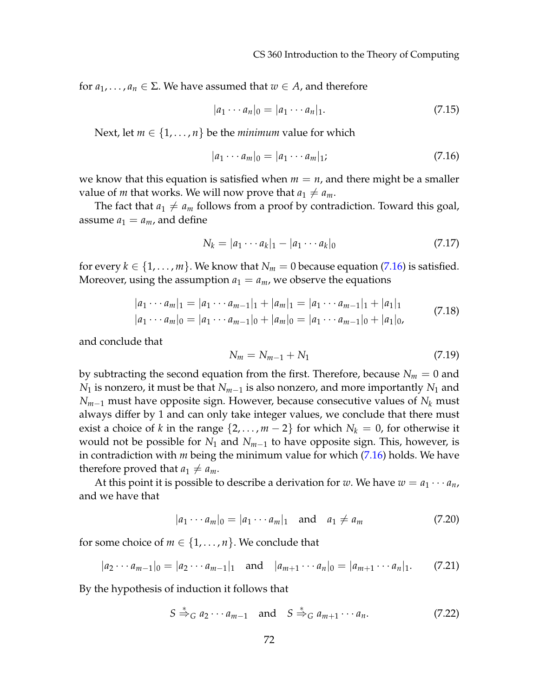for  $a_1, \ldots, a_n \in \Sigma$ . We have assumed that  $w \in A$ , and therefore

$$
|a_1 \cdots a_n|_0 = |a_1 \cdots a_n|_1. \tag{7.15}
$$

Next, let  $m \in \{1, \ldots, n\}$  be the *minimum* value for which

<span id="page-5-0"></span>
$$
|a_1 \cdots a_m|_0 = |a_1 \cdots a_m|_1; \tag{7.16}
$$

we know that this equation is satisfied when  $m = n$ , and there might be a smaller value of *m* that works. We will now prove that  $a_1 \neq a_m$ .

The fact that  $a_1 \neq a_m$  follows from a proof by contradiction. Toward this goal, assume  $a_1 = a_m$ , and define

$$
N_k = |a_1 \cdots a_k|_1 - |a_1 \cdots a_k|_0 \tag{7.17}
$$

for every  $k \in \{1, \ldots, m\}$ . We know that  $N_m = 0$  because equation [\(7.16\)](#page-5-0) is satisfied. Moreover, using the assumption  $a_1 = a_m$ , we observe the equations

$$
|a_1 \cdots a_m|_1 = |a_1 \cdots a_{m-1}|_1 + |a_m|_1 = |a_1 \cdots a_{m-1}|_1 + |a_1|_1
$$
  
\n
$$
|a_1 \cdots a_m|_0 = |a_1 \cdots a_{m-1}|_0 + |a_m|_0 = |a_1 \cdots a_{m-1}|_0 + |a_1|_0,
$$
\n(7.18)

and conclude that

$$
N_m = N_{m-1} + N_1 \tag{7.19}
$$

by subtracting the second equation from the first. Therefore, because  $N_m = 0$  and *N*<sub>1</sub> is nonzero, it must be that  $N_{m-1}$  is also nonzero, and more importantly  $N_1$  and *Nm*−<sup>1</sup> must have opposite sign. However, because consecutive values of *N<sup>k</sup>* must always differ by 1 and can only take integer values, we conclude that there must exist a choice of *k* in the range  $\{2, \ldots, m-2\}$  for which  $N_k = 0$ , for otherwise it would not be possible for  $N_1$  and  $N_{m-1}$  to have opposite sign. This, however, is in contradiction with *m* being the minimum value for which [\(7.16\)](#page-5-0) holds. We have therefore proved that  $a_1 \neq a_m$ .

At this point it is possible to describe a derivation for *w*. We have  $w = a_1 \cdots a_n$ , and we have that

$$
|a_1 \cdots a_m|_0 = |a_1 \cdots a_m|_1 \quad \text{and} \quad a_1 \neq a_m \tag{7.20}
$$

for some choice of  $m \in \{1, \ldots, n\}$ . We conclude that

$$
|a_2 \cdots a_{m-1}|_0 = |a_2 \cdots a_{m-1}|_1 \text{ and } |a_{m+1} \cdots a_n|_0 = |a_{m+1} \cdots a_n|_1. \qquad (7.21)
$$

By the hypothesis of induction it follows that

$$
S \stackrel{*}{\Rightarrow}_G a_2 \cdots a_{m-1} \quad \text{and} \quad S \stackrel{*}{\Rightarrow}_G a_{m+1} \cdots a_n. \tag{7.22}
$$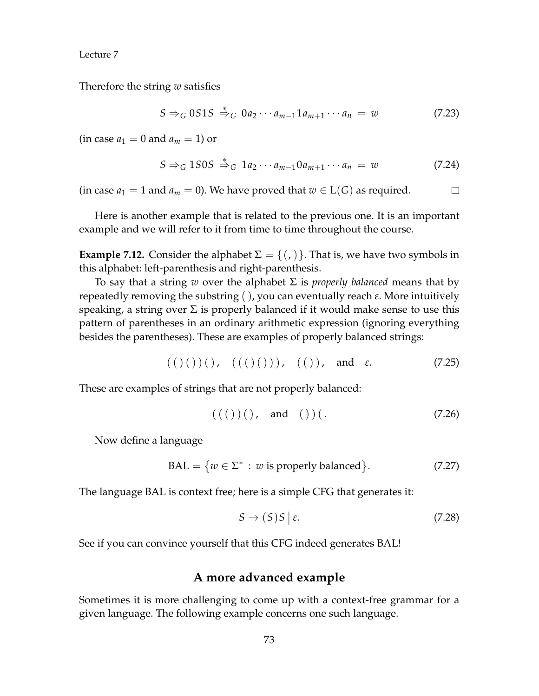Therefore the string *w* satisfies

$$
S \Rightarrow_G 0S1S \stackrel{*}{\Rightarrow}_G 0a_2 \cdots a_{m-1} 1a_{m+1} \cdots a_n = w \tag{7.23}
$$

 $(in case a_1 = 0 and a_m = 1)$  or

$$
S \Rightarrow_G 1S0S \stackrel{*}{\Rightarrow}_G 1a_2 \cdots a_{m-1} 0a_{m+1} \cdots a_n = w \tag{7.24}
$$

(in case  $a_1 = 1$  and  $a_m = 0$ ). We have proved that  $w \in L(G)$  as required.  $\Box$ 

Here is another example that is related to the previous one. It is an important example and we will refer to it from time to time throughout the course.

**Example 7.12.** Consider the alphabet  $\Sigma = \{(.)\}$ . That is, we have two symbols in this alphabet: left-parenthesis and right-parenthesis.

To say that a string *w* over the alphabet Σ is *properly balanced* means that by repeatedly removing the substring ( ), you can eventually reach *ε*. More intuitively speaking, a string over  $\Sigma$  is properly balanced if it would make sense to use this pattern of parentheses in an ordinary arithmetic expression (ignoring everything besides the parentheses). These are examples of properly balanced strings:

$$
(()())))
$$
,  $(()()))$ ,  $(())$ , and  $\varepsilon$ . (7.25)

These are examples of strings that are not properly balanced:

$$
(((\t)(\t), \t and \t))\t(\t. \t(7.26)
$$

Now define a language

$$
BAL = \{ w \in \Sigma^* : w \text{ is properly balanced} \}. \tag{7.27}
$$

The language BAL is context free; here is a simple CFG that generates it:

$$
S \to (S)S \mid \varepsilon. \tag{7.28}
$$

See if you can convince yourself that this CFG indeed generates BAL!

#### **A more advanced example**

Sometimes it is more challenging to come up with a context-free grammar for a given language. The following example concerns one such language.